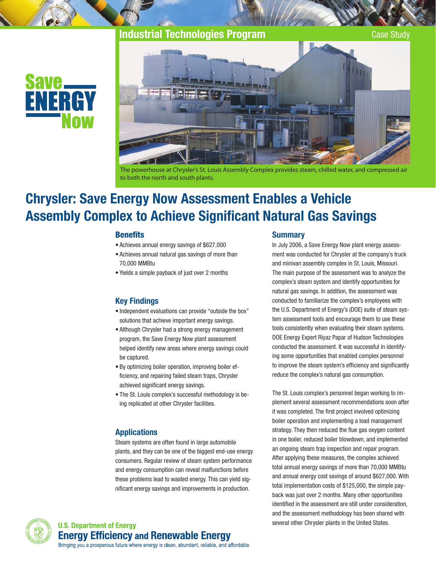# Industrial Technologies Program Case Study





The powerhouse at Chrysler's St. Louis Assembly Complex provides steam, chilled water, and compressed air to both the north and south plants.

# Chrysler: Save Energy Now Assessment Enables a Vehicle Assembly Complex to Achieve Significant Natural Gas Savings

#### **Benefits**

- • Achieves annual energy savings of \$627,000
- Achieves annual natural gas savings of more than 70,000 MMBtu
- • Yields a simple payback of just over 2 months

### Key Findings

- Independent evaluations can provide "outside the box" solutions that achieve important energy savings.
- Although Chrysler had a strong energy management program, the Save Energy Now plant assessment helped identify new areas where energy savings could be captured.
- • By optimizing boiler operation, improving boiler efficiency, and repairing failed steam traps, Chrysler achieved significant energy savings.
- The St. Louis complex's successful methodology is being replicated at other Chrysler facilities.

#### **Applications**

Steam systems are often found in large automobile plants, and they can be one of the biggest end-use energy consumers. Regular review of steam system performance and energy consumption can reveal malfunctions before these problems lead to wasted energy. This can yield significant energy savings and improvements in production.

#### **Summary**

In July 2006, a Save Energy Now plant energy assessment was conducted for Chrysler at the company's truck and minivan assembly complex in St. Louis, Missouri. The main purpose of the assessment was to analyze the complex's steam system and identify opportunities for natural gas savings. In addition, the assessment was conducted to familiarize the complex's employees with the U.S. Department of Energy's (DOE) suite of steam system assessment tools and encourage them to use these tools consistently when evaluating their steam systems. DOE Energy Expert Riyaz Papar of Hudson Technologies conducted the assessment. It was successful in identifying some opportunities that enabled complex personnel to improve the steam system's efficiency and significantly reduce the complex's natural gas consumption.

The St. Louis complex's personnel began working to implement several assessment recommendations soon after it was completed. The first project involved optimizing boiler operation and implementing a load management strategy. They then reduced the flue gas oxygen content in one boiler, reduced boiler blowdown, and implemented an ongoing steam trap inspection and repair program. After applying these measures, the complex achieved total annual energy savings of more than 70,000 MMBtu and annual energy cost savings of around \$627,000. With total implementation costs of \$125,000, the simple payback was just over 2 months. Many other opportunities identified in the assessment are still under consideration, and the assessment methodology has been shared with several other Chrysler plants in the United States.

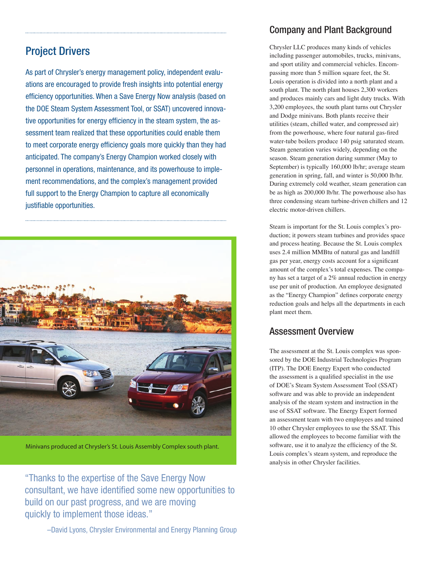# Project Drivers

As part of Chrysler's energy management policy, independent evaluations are encouraged to provide fresh insights into potential energy efficiency opportunities. When a Save Energy Now analysis (based on the DOE Steam System Assessment Tool, or SSAT) uncovered innovative opportunities for energy efficiency in the steam system, the assessment team realized that these opportunities could enable them to meet corporate energy efficiency goals more quickly than they had anticipated. The company's Energy Champion worked closely with personnel in operations, maintenance, and its powerhouse to implement recommendations, and the complex's management provided full support to the Energy Champion to capture all economically justifiable opportunities.



Minivans produced at Chrysler's St. Louis Assembly Complex south plant.

"Thanks to the expertise of the Save Energy Now consultant, we have identified some new opportunities to build on our past progress, and we are moving quickly to implement those ideas."

### Company and Plant Background

Chrysler LLC produces many kinds of vehicles including passenger automobiles, trucks, minivans, and sport utility and commercial vehicles. Encompassing more than 5 million square feet, the St. Louis operation is divided into a north plant and a south plant. The north plant houses 2,300 workers and produces mainly cars and light duty trucks. With 3,200 employees, the south plant turns out Chrysler and Dodge minivans. Both plants receive their utilities (steam, chilled water, and compressed air) from the powerhouse, where four natural gas-fired water-tube boilers produce 140 psig saturated steam. Steam generation varies widely, depending on the season. Steam generation during summer (May to September) is typically 160,000 lb/hr; average steam generation in spring, fall, and winter is 50,000 lb/hr. During extremely cold weather, steam generation can be as high as 200,000 lb/hr. The powerhouse also has three condensing steam turbine-driven chillers and 12 electric motor-driven chillers.

Steam is important for the St. Louis complex's production; it powers steam turbines and provides space and process heating. Because the St. Louis complex uses 2.4 million MMBtu of natural gas and landfill gas per year, energy costs account for a significant amount of the complex's total expenses. The company has set a target of a 2% annual reduction in energy use per unit of production. An employee designated as the "Energy Champion" defines corporate energy reduction goals and helps all the departments in each plant meet them.

### Assessment Overview

The assessment at the St. Louis complex was sponsored by the DOE Industrial Technologies Program (ITP). The DOE Energy Expert who conducted the assessment is a qualified specialist in the use of DOE's Steam System Assessment Tool (SSAT) software and was able to provide an independent analysis of the steam system and instruction in the use of SSAT software. The Energy Expert formed an assessment team with two employees and trained 10 other Chrysler employees to use the SSAT. This allowed the employees to become familiar with the software, use it to analyze the efficiency of the St. Louis complex's steam system, and reproduce the analysis in other Chrysler facilities.

–David Lyons, Chrysler Environmental and Energy Planning Group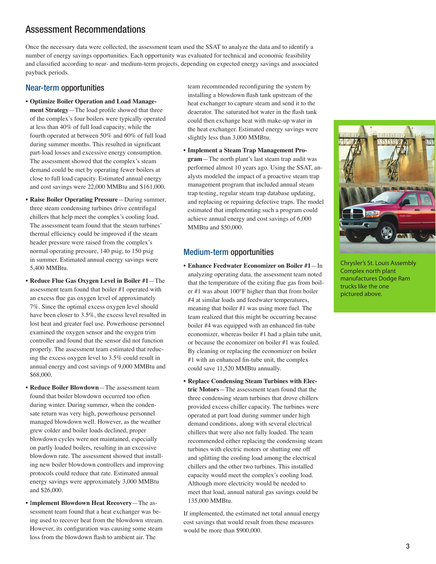### Assessment Recommendations

Once the necessary data were collected, the assessment team used the SSAT to analyze the data and to identify a number of energy savings opportunities. Each opportunity was evaluated for technical and economic feasibility and classified according to near- and medium-term projects, depending on expected energy savings and associated payback periods.

### Near-term opportunities

- **Optimize Boiler Operation and Load Management Strategy**—The load profile showed that three of the complex's four boilers were typically operated at less than 40% of full load capacity, while the fourth operated at between 50% and 60% of full load during summer months. This resulted in significant part-load losses and excessive energy consumption. The assessment showed that the complex's steam demand could be met by operating fewer boilers at close to full load capacity. Estimated annual energy and cost savings were 22,000 MMBtu and \$161,000.
- **Raise Boiler Operating Pressure**—During summer, three steam condensing turbines drive centrifugal chillers that help meet the complex's cooling load. The assessment team found that the steam turbines' thermal efficiency could be improved if the steam header pressure were raised from the complex's normal operating pressure, 140 psig, to 150 psig in summer. Estimated annual energy savings were 5,400 MMBtu.
- **Reduce Flue Gas Oxygen Level in Boiler #1**—The assessment team found that boiler #1 operated with an excess flue gas oxygen level of approximately 7%. Since the optimal excess oxygen level should have been closer to 3.5%, the excess level resulted in lost heat and greater fuel use. Powerhouse personnel examined the oxygen sensor and the oxygen trim controller and found that the sensor did not function properly. The assessment team estimated that reducing the excess oxygen level to 3.5% could result in annual energy and cost savings of 9,000 MMBtu and \$68,000.
- **Reduce Boiler Blowdown**—The assessment team found that boiler blowdown occurred too often during winter. During summer, when the condensate return was very high, powerhouse personnel managed blowdown well. However, as the weather grew colder and boiler loads declined, proper blowdown cycles were not maintained, especially on partly loaded boilers, resulting in an excessive blowdown rate. The assessment showed that installing new boiler blowdown controllers and improving protocols could reduce that rate. Estimated annual energy savings were approximately 3,000 MMBtu and \$26,000.
- I**mplement Blowdown Heat Recovery**—The assessment team found that a heat exchanger was being used to recover heat from the blowdown stream. However, its configuration was causing some steam loss from the blowdown flash to ambient air. The

team recommended reconfiguring the system by installing a blowdown flash tank upstream of the heat exchanger to capture steam and send it to the deaerator. The saturated hot water in the flash tank could then exchange heat with make-up water in the heat exchanger. Estimated energy savings were slightly less than 3,000 MMBtu.

• **Implement a Steam Trap Management Program**—The north plant's last steam trap audit was performed almost 10 years ago. Using the SSAT, analysts modeled the impact of a proactive steam trap management program that included annual steam trap testing, regular steam trap database updating, and replacing or repairing defective traps. The model estimated that implementing such a program could achieve annual energy and cost savings of 6,000 MMBtu and \$50,000.

### Medium-term opportunities

- **Enhance Feedwater Economizer on Boiler #1**—In analyzing operating data, the assessment team noted that the temperature of the exiting flue gas from boiler #1 was about 100°F higher than that from boiler #4 at similar loads and feedwater temperatures, meaning that boiler #1 was using more fuel. The team realized that this might be occurring because boiler #4 was equipped with an enhanced fin-tube economizer, whereas boiler #1 had a plain tube unit, or because the economizer on boiler #1 was fouled. By cleaning or replacing the economizer on boiler #1 with an enhanced fin-tube unit, the complex could save 11,520 MMBtu annually.
- **Replace Condensing Steam Turbines with Electric Motors**—The assessment team found that the three condensing steam turbines that drove chillers provided excess chiller capacity. The turbines were operated at part load during summer under high demand conditions, along with several electrical chillers that were also not fully loaded. The team recommended either replacing the condensing steam turbines with electric motors or shutting one off and splitting the cooling load among the electrical chillers and the other two turbines. This installed capacity would meet the complex's cooling load. Although more electricity would be needed to meet that load, annual natural gas savings could be 135,000 MMBtu.

If implemented, the estimated net total annual energy cost savings that would result from these measures would be more than \$900,000.



Chrysler's St. Louis Assembly Complex north plant manufactures Dodge Ram trucks like the one pictured above.